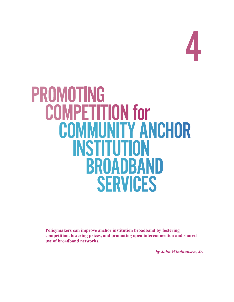

# PROMOTING<br>COMPETITION for **COMMUNITY ANCHOR**  institution broadband **SERVICES**

**Policymakers can improve anchor institution broadband by fostering competition, lowering prices, and promoting open interconnection and shared use of broadband networks.**

*by John Windhausen, Jr.*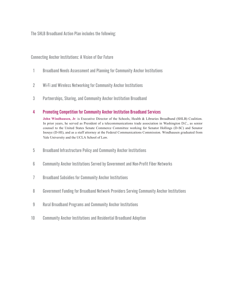The SHLB Broadband Action Plan includes the following:

Connecting Anchor Institutions: A Vision of Our Future

- 1 Broadband Needs Assessment and Planning for Community Anchor Institutions
- 2 Wi-Fi and Wireless Networking for Community Anchor Institutions
- 3 Partnerships, Sharing, and Community Anchor Institution Broadband

### 4 Promoting Competition for Community Anchor Institution Broadband Services

**John Windhausen, Jr**. is Executive Director of the Schools, Health & Libraries Broadband (SHLB) Coalition. In prior years, he served as President of a telecommunications trade association in Washington D.C., as senior counsel to the United States Senate Commerce Committee working for Senator Hollings (D-SC) and Senator Inouye (D-HI), and as a staff attorney at the Federal Communications Commission. Windhausen graduated from Yale University and the UCLA School of Law.

- 5 Broadband Infrastructure Policy and Community Anchor Institutions
- 6 Community Anchor Institutions Served by Government and Non-Profit Fiber Networks
- 7 Broadband Subsidies for Community Anchor Institutions
- 8 Government Funding for Broadband Network Providers Serving Community Anchor Institutions
- 9 Rural Broadband Programs and Community Anchor Institutions
- 10 Community Anchor Institutions and Residential Broadband Adoption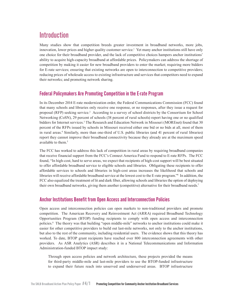# **Introduction**

Many studies show that competition breeds greater investment in broadband networks, more jobs, innovation, lower prices and higher quality customer service.<sup>1</sup> Yet many anchor institutions still have only one choice for their broadband provider, and the lack of competitive choices hampers anchor institutions' ability to acquire high-capacity broadband at affordable prices. Policymakers can address the shortage of competition by making it easier for new broadband providers to enter the market; requiring more bidders for E-rate services; ensuring that existing networks are open to interconnection to competitive providers; reducing prices of wholesale access to existing infrastructure and services that competitors need to expand their networks; and promoting network sharing.

## Federal Policymakers Are Promoting Competition in the E-rate Program

In its December 2014 E-rate modernization order, the Federal Communications Commission (FCC) found that many schools and libraries only receive one response, or no responses, after they issue a request for proposal (RFP) seeking service.<sup>2</sup> According to a survey of school districts by the Consortium for School Networking (CoSN), 29 percent of schools (38 percent of rural schools) report having one or no qualified bidders for Internet services.<sup>3</sup> The Research and Education Network in Missouri (MOREnet) found that 30 percent of the RFPs issued by schools in Missouri received either one bid or no bids at all, most of them in rural areas.4 Similarly, more than one-third of U.S. public libraries (and 41 percent of rural libraries) report they cannot improve their broadband connectivity because they already are at the maximum speed available to them  $5$ 

The FCC has worked to address this lack of competition in rural areas by requiring broadband companies that receive financial support from the FCC's Connect America Fund to respond to E-rate RFPs. The FCC found, "In high-cost, hard to serve areas, we expect that recipients of high-cost support will be best situated to offer affordable broadband service to eligible schools and libraries. Obligating these recipients to offer affordable services to schools and libraries in high-cost areas increases the likelihood that schools and libraries will receive affordable broadband service at the lowest cost to the E-rate program."6 In addition, the FCC also equalized the treatment of lit and dark fiber, allowing schools and libraries the option of deploying their own broadband networks, giving them another (competitive) alternative for their broadband needs.7

## Anchor Institutions Benefit from Open Access and Interconnection Policies

Open access and interconnection policies can open markets to non-traditional providers and promote competition. The American Recovery and Reinvestment Act (ARRA) required Broadband Technology Opportunities Program (BTOP) funding recipients to comply with open access and interconnection policies.<sup>8</sup> The theory was that building "open middle-mile" networks to anchor institutions could make it easier for other competitive providers to build out last-mile networks, not only to the anchor institutions, but also to the rest of the community, including residential users. The evidence shows that this theory has worked. To date, BTOP grant recipients have reached over 800 interconnection agreements with other providers. As ASR Analytics (ASR) describes it in a National Telecommunications and Information Administration-funded BTOP impact study:

Through open access policies and network architecture, these projects provided the means for third-party middle-mile and last-mile providers to use the BTOP-funded infrastructure to expand their future reach into unserved and underserved areas. BTOP infrastructure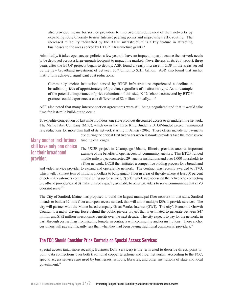also provided means for service providers to improve the redundancy of their networks by expanding route diversity to new Internet peering points and improving traffic routing. The increased reliability facilitated by the BTOP infrastructure is a key feature in attracting businesses to the areas served by BTOP infrastructure grants.<sup>9</sup>

Admittedly, it takes open access policies a few years to have an impact, in part because the network needs to be deployed across a large enough footprint to impact the market. Nevertheless, in its 2014 report, three years after the BTOP projects began to deploy, ASR found a yearly increase in GDP in the areas served by the new broadband investment of between \$5.7 billion to \$21.1 billion. ASR also found that anchor institutions achieved significant cost reductions:

Community anchor institutions served by BTOP infrastructure experienced a decline in broadband prices of approximately 95 percent, regardless of institution type. As an example of the potential importance of price reductions of this size, K-12 schools connected by BTOP grantees could experience a cost difference of \$2 billion annually… 10

ASR also noted that many interconnection agreements were still being negotiated and that it would take time for last-mile build-out to occur.

To expedite competition by last-mile providers, one state provides discounted access to its middle-mile network. The Maine Fiber Company (MFC), which owns the Three Ring Binder, a BTOP-funded project, announced rate reductions for more than half of its network starting in January 2016. These offers include no payments

> due during the critical first two years when last-mile providers face the most severe funding challenges.<sup>11</sup>

## Many anchor institutions still have only one choice for their broadband provider.

The UC2B project in Champaign-Urbana, Illinois, provides another important example of the benefits of open access for community anchors. This BTOP-funded middle-mile project connected 294 anchor institutions and over 1,000 households to a fiber network. UC2B then initiated a competitive bidding process for a broadband

and video service provider to expand and operate the network. The contract was recently awarded to iTV3, which will: 1) invest tens of millions of dollars to build gigabit fiber in areas of the city where at least 50 percent of potential customers commit to signing up for service, 2) offer wholesale access on the network to competing broadband providers, and 3) make unused capacity available to other providers to serve communities that iTV3 does not serve.<sup>12</sup>

The City of Sanford, Maine, has proposed to build the largest municipal fiber network in that state. Sanford intends to build a 32-mile fiber and open access network that will allow multiple ISPs to provide services. The city will partner with the Maine-based company Great Works Internet (GWI). The city's Economic Growth Council is a major driving force behind the public-private project that is estimated to generate between \$47 million and \$192 million in economic benefits over the next decade. The city expects to pay for the network, in part, through cost savings from signing long-term contracts with community anchor institutions. These anchor customers will pay significantly less than what they had been paying traditional commercial providers.13

### The FCCShould Consider Price Controls on Special Access Services

Special access (and, more recently, Business Data Services) is the term used to describe direct, point-topoint data connections over both traditional copper telephone and fiber networks. According to the FCC, special access services are used by businesses, schools, libraries, and other institutions of state and local government.14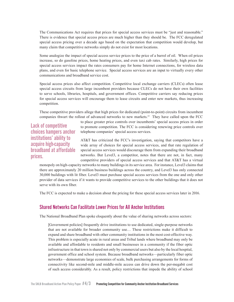The Communications Act requires that prices for special access services must be "just and reasonable." There is evidence that special access prices are much higher than they should be. The FCC deregulated special access pricing over a decade ago based on the expectation that competition would develop, but many claim that competitive networks simply do not exist for most locations.

Some analogize the impact of special access service prices to the price of a barrel of oil. When oil prices increase, so do gasoline prices, home heating prices, and even taxi cab rates. Similarly, high prices for special access services impact the rates consumers pay for home Internet connections, for wireless data plans, and even for basic telephone service. Special access services are an input to virtually every other communications and broadband service cost.

Special access prices also affect competition. Competitive local exchange carriers (CLECs) often lease special access circuits from large incumbent providers because CLECs do not have their own facilities to serve schools, libraries, hospitals, and government offices. Competitive carriers say reducing prices for special access services will encourage them to lease circuits and enter new markets, thus increasing competition.

These competitive providers allege that high prices for dedicated (point-to-point) circuits from incumbent companies thwart the rollout of advanced networks to new markets.15 They have called upon the FCC

Lack of competitive choices hampers anchor institutions' ability to acquire high-capacity broadband at affordable prices.

to place greater price controls over incumbents' special access prices in order to promote competition. The FCC is considering renewing price controls over telephone companies' special access services.

AT&T has criticized the FCC's investigation, saying that competitors have a wide array of choices for special access services, and that rate regulation of special access services would discourage them from expanding their broadband networks. But Level3, a competitor, notes that there are not, in fact, many competitive providers of special access services and that AT&T has a virtual

monopoly on high-capacity networks to many buildings in its service area. For instance, Level3 claims that there are approximately 20 million business buildings across the country, and Level3 has only connected 30,000 buildings with lit fiber. Level3 must purchase special access services from the one and only other provider of data services if it wants to provide competitive services to the other buildings that it does not serve with its own fiber.

The FCC is expected to make a decision about the pricing for these special access services later in 2016.

#### Shared Networks Can Facilitate Lower Prices for All Anchor Institutions

The National Broadband Plan spoke eloquently about the value of sharing networks across sectors:

[Government policies] frequently drive institutions to use dedicated, single-purpose networks that are not available for broader community use… These restrictions make it difficult to expand and share broadband with other community institutions in the most cost-effective way. This problem is especially acute in rural areas and Tribal lands where broadband may only be available and affordable to residents and small businesses in a community if the fiber optic infrastructure in that town is shared not only by commercial users but also by the local hospital, government office and school system. Because broadband networks—particularly fiber optic networks—demonstrate large economies of scale, bulk purchasing arrangements for forms of connectivity like second-mile and middle-mile access can drive down the per-megabit cost of such access considerably. As a result, policy restrictions that impede the ability of school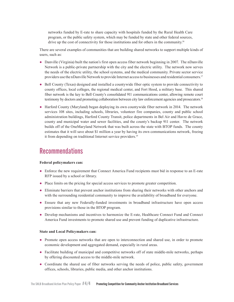networks funded by E-rate to share capacity with hospitals funded by the Rural Health Care program, or the public safety system, which may be funded by state and other federal sources, drive up the cost of connectivity for those institutions and for others in the community.<sup>16</sup>

There are several examples of communities that are building shared networks to support multiple kinds of users, such as:

- **●** Danville (Virginia) built the nation's first open access fiber network beginning in 2007. The nDanville Network is a public-private partnership with the city and the electric utility. The network now serves the needs of the electric utility, the school systems, and the medical community. Private sector service providers use the nDanville Network to provide Internet access to businesses and residential consumers.17
- **●** Bell County (Texas) designed and installed a countywide fiber optic system to provide connectivity to county offices, local colleges, the regional medical center, and Fort Hood, a military base. This shared fiber network is the key to Bell County's consolidated 911 communications center, allowing remote court testimony by doctors and promoting collaboration between city law enforcement agencies and prosecutors.<sup>18</sup>
- **●** Harford County (Maryland) began deploying its own countywide fiber network in 2014. The network services 108 sites, including schools, libraries, volunteer fire companies, county and public school administration buildings, Harford County Transit, police departments in Bel Air and Havre de Grace, county and municipal water and sewer facilities, and the county's backup 911 center. The network builds off of the OneMaryland Network that was built across the state with BTOP funds. The county estimates that it will save about \$1 million a year by having its own communications network, freeing it from depending on traditional Internet service providers.<sup>19</sup>

# **Recommendations**

#### **Federal policymakers can:**

- **●** Enforce the new requirement that Connect America Fund recipients must bid in response to an E-rate RFP issued by a school or library.
- **●** Place limits on the pricing for special access services to promote greater competition.
- **●** Eliminate barriers that prevent anchor institutions from sharing their networks with other anchors and with the surrounding residential community to improve the availability of broadband for everyone.
- **●** Ensure that any new Federally-funded investments in broadband infrastructure have open access provisions similar to those in the BTOP program.
- Develop mechanisms and incentives to harmonize the E-rate, Healthcare Connect Fund and Connect America Fund investments to promote shared use and prevent funding of duplicative infrastructure.

#### **State and Local Policymakers can:**

- **●** Promote open access networks that are open to interconnection and shared use, in order to promote economic development and aggregated demand, especially in rural areas.
- **●** Facilitate building of municipal and competitive networks off of state middle-mile networks, perhaps by offering discounted access to the middle-mile network.
- **●** Coordinate the shared use of fiber networks serving the needs of police, public safety, government offices, schools, libraries, public media, and other anchor institutions.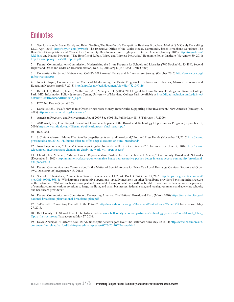# **Endnotes**

1 See, for example, Susan Gately and Helen Golding, The Benefits of a Competitive Business Broadband Market (S M Gately Consulting LLC, April 2013) <http://tinyurl.com/jt95wc3>; The Executive Office of the White House, Community-based Broadband Solutions: The Benefits of Competition and Choice for Community Development and HighSpeed Internet Access (January 2015) [http://tinyurl.com/](http://tinyurl.com/jgk38nk) [jgk38nk;](http://tinyurl.com/jgk38nk) and Nathan Newman, "The Benefits of Robust Wired and Wireless Networks," Economic Policy Institute (November 30, 2011) <http://www.epi.org/files/2011/bp332.pdf>

2 Federal Communications Commission, Modernizing the E-rate Program for Schools and Libraries (WC Docket No. 13-184), Second Report and Order and Order on Reconsideration, Dec. 19, 2014 at ¶ 4. (FCC 2nd E-rate Order)

3 Consortium for School Networking, CoSN's 2015 Annual E-rate and Infrastructure Survey, (October 2015) [http://www.cosn.org/](http://www.cosn.org/Infrastructure2015) [Infrastructure2015](http://www.cosn.org/Infrastructure2015)

John Gillispie, Comments in the Matter of Modernizing the E-rate Program for Schools and Libraries, Missouri Research and Education Network (April 7, 2013)<http://apps.fcc.gov/ecfs/document/view?id=7521097116>

5 Bertot, J.C., Real, B., Lee, J., McDermott, A.J., & Jaeger, P.T. (2015). 2014 Digital Inclusion Survey: Findings and Results. College Park, MD: Information Policy & Access Center, University of Maryland College Park. Available at [http://digitalinclusion.umd.edu/sites/](http://digitalinclusion.umd.edu/sites/default/files/BroadbandBrief2015_1.pdf) [default/files/BroadbandBrief2015\\_1.pdf](http://digitalinclusion.umd.edu/sites/default/files/BroadbandBrief2015_1.pdf)

6 FCC 2nd E-rate Order at ¶ 63.

7 Danielle Kehl, "FCC's New E-rate Order Brings More Money, Better Rules Supporting Fiber Investment," New America (January 15, 2015)<http://www.edcentral.org/fccnewrate/>

8 American Recovery and Reinvestment Act of 2009 Sec 6001 (j), Public Law 111-5 (February 17, 2009).

9 ASR Analytics, Final Report: Social and Economic Impacts of the Broadband Technology Opportunities Program (September 15, 2014) [https://www.ntia.doc.gov/files/ntia/publications/asr\\_final\\_report.pdf](https://www.ntia.doc.gov/files/ntia/publications/asr_final_report.pdf)

10 Ibid., at 4.

11 J. Craig Anderson, "Maine Fiber to offer deep discounts on rural broadband," Portland Press Herald (November 13, 2015) [http://www.](http://www.pressherald.com/2015/11/13/maine-fiber-to-offer-deep-discounts-on-rural-broadband/) [pressherald.com/2015/11/13/maine-fiber-to-offer-deep-discounts-on-rural-broadband/](http://www.pressherald.com/2015/11/13/maine-fiber-to-offer-deep-discounts-on-rural-broadband/)

12 Joan Engebretson, "Urbana/ Champaign Gigabit Network Will Be Open Access," Telecompetitor (June 2, 2014) [http://www.](http://www.telecompetitor.com/urbana-champaign-gigabit-network-will-open-access/) [telecompetitor.com/urbana-champaign-gigabit-network-will-open-access/](http://www.telecompetitor.com/urbana-champaign-gigabit-network-will-open-access/)

13 Christopher Mitchell, "Maine House Representative Pushes for Better Internet Access," Community Broadband Networks (December 8, 2015) [http://muninetworks.org/content/maine-house-representative-pushes-better-internet-access-community-broadband](http://muninetworks.org/content/maine-house-representative-pushes-better-internet-access-community-broadband-bits-podcast-18)[bits-podcast-18](http://muninetworks.org/content/maine-house-representative-pushes-better-internet-access-community-broadband-bits-podcast-18)

14 Federal Communications Commission, In the Matter of Special Access for Price Cap Local Exchange Carriers, Report and Order (WC Docket 05-25) (September 18, 2013).

15 See John T. Nakahata, Comments of Windstream Services, LLC, WC Docket 05-25, Jan. 27, 2016 [http://apps.fcc.gov/ecfs/comment/](http://apps.fcc.gov/ecfs/comment/view?id=60001386514) [view?id=60001386514](http://apps.fcc.gov/ecfs/comment/view?id=60001386514): "Windstream's competitive operations typically must rely on other [broadband providers'] existing infrastructure in the last-mile…. Without such access on just and reasonable terms, Windstream will not be able to continue to be a nationwide provider of complex communications solutions to large, medium, and small businesses; federal, state, and local governments and agencies; schools; and healthcare providers."

16 Federal Communications Commission, Connecting America: The National Broadband Plan, (March 2010) [https://transition.fcc.gov/](https://transition.fcc.gov/national-broadband-plan/national-broadband-plan.pdf) [national-broadband-plan/national-broadband-plan.pdf](https://transition.fcc.gov/national-broadband-plan/national-broadband-plan.pdf)

17 "nDanville: Connecting Danville to the Future" <http://www.danville-va.gov/DocumentCenter/Home/View/1859>last accessed May 27, 2016.

18 Bell County 10G Shared Fiber Optic Infrastructure [www.bellcountytx.com/departments/technology\\_services1/docs/Shared\\_Fiber\\_](www.bellcountytx.com/departments/technology_services1/docs/Shared_Fiber_Optic_Instructure.pdf) [Optic\\_Instructure.pdf](www.bellcountytx.com/departments/technology_services1/docs/Shared_Fiber_Optic_Instructure.pdf) last accessed May 27, 2016.

19 David Anderson, "Harford's new HMAN fiber-optic network goes live," The Baltimore Sun (May 22, 2014) [http://www.baltimoresun.](http://www.baltimoresun.com/news/maryland/harford/belair/ph-ag-hman-presser-0523-20140522-story.html) [com/news/maryland/harford/belair/ph-ag-hman-presser-0523-20140522-story.html](http://www.baltimoresun.com/news/maryland/harford/belair/ph-ag-hman-presser-0523-20140522-story.html)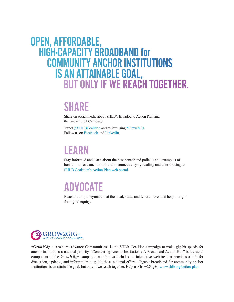# open, affordable, **HIGH-CAPACITY BROADBAND for COMMUNITY ANCHOR INSTITUTIONS**<br>IS AN ATTAINABLE GOAL, BUT ONLY IF WE REACH TOGETHER.

# SHARE

Share on social media about SHLB's Broadband Action Plan and the Grow2Gig+ Campaign.

Tweet [@SHLBCoalition](https://twitter.com/SHLBCoalition) and follow using [#Grow2Gig](https://twitter.com/search?q=%23grow2gig&src=typd). Follow us on [Facebook](https://www.facebook.com/SHLBCoalition/) and [LinkedIn](https://www.linkedin.com/company/shlb-coalition).

# LEARN

Stay informed and learn about the best broadband policies and examples of how to improve anchor institution connectivity by reading and contributing to [SHLB Coalition's Action Plan web portal](http://www.shlb.org/action-plan).

# ADVOCATE

Reach out to policymakers at the local, state, and federal level and help us fight for digital equity.



**"Grow2Gig+: Anchors Advance Communities"** is the SHLB Coalition campaign to make gigabit speeds for anchor institutions a national priority. "Connecting Anchor Institutions: A Broadband Action Plan" is a crucial component of the Grow2Gig+ campaign, which also includes an interactive website that provides a hub for discussion, updates, and information to guide these national efforts. Gigabit broadband for community anchor institutions is an attainable goal, but only if we reach together. Help us Grow2Gig+! [www.shlb.org/action-plan](http://www.shlb.org/action-plan)